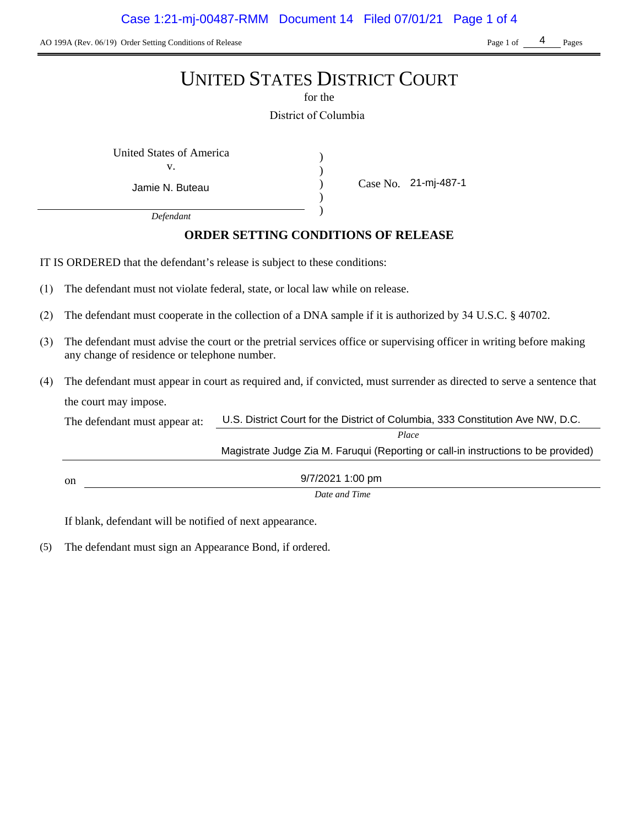AO 199A (Rev. 06/19) Order Setting Conditions of Release Page 1 of Pages Page 1 of Pages

4

# UNITED STATES DISTRICT COURT

for the

District of Columbia

) ) ) )

United States of America (1)

v.

Jamie N. Buteau

Case No. 21-mj-487-1

*Defendant*

## **ORDER SETTING CONDITIONS OF RELEASE**

IT IS ORDERED that the defendant's release is subject to these conditions:

- (1) The defendant must not violate federal, state, or local law while on release.
- (2) The defendant must cooperate in the collection of a DNA sample if it is authorized by 34 U.S.C. § 40702.
- (3) The defendant must advise the court or the pretrial services office or supervising officer in writing before making any change of residence or telephone number.
- (4) The defendant must appear in court as required and, if convicted, must surrender as directed to serve a sentence that the court may impose.

| The defendant must appear at: | U.S. District Court for the District of Columbia, 333 Constitution Ave NW, D.C.    |  |  |
|-------------------------------|------------------------------------------------------------------------------------|--|--|
|                               | Place                                                                              |  |  |
|                               | Magistrate Judge Zia M. Faruqui (Reporting or call-in instructions to be provided) |  |  |
|                               |                                                                                    |  |  |
| <sub>on</sub>                 | 9/7/2021 1:00 pm                                                                   |  |  |
|                               | $\mathbf{D}$ $\mathbf{I}$                                                          |  |  |

*Date and Time*

If blank, defendant will be notified of next appearance.

(5) The defendant must sign an Appearance Bond, if ordered.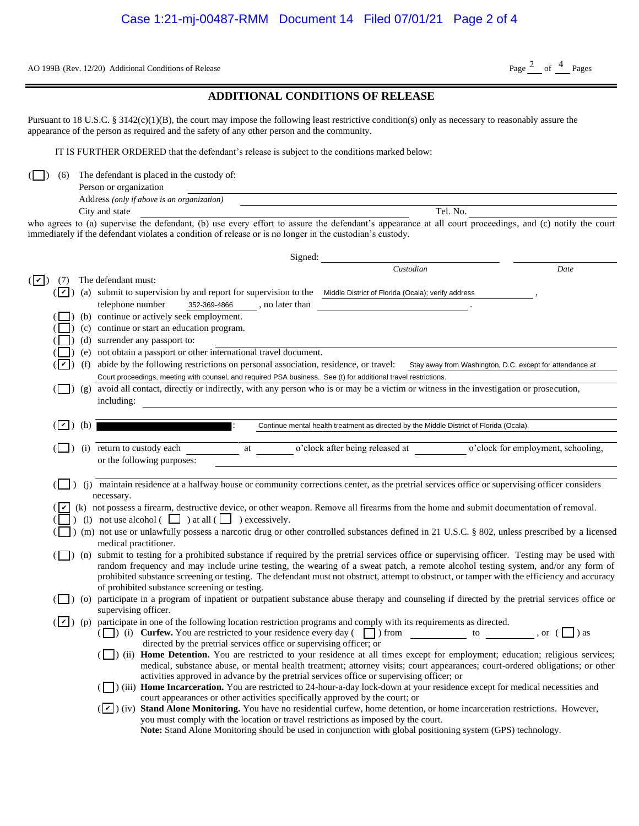AO 199B (Rev. 12/20) Additional Conditions of Release Page  $\frac{2}{\text{Page}}$  of  $\frac{4}{\text{Page}}$  Pages

### **ADDITIONAL CONDITIONS OF RELEASE**

| Person or organization                     |          |
|--------------------------------------------|----------|
| Address (only if above is an organization) |          |
| City and state                             | Tel. No. |

| AO 199B (Rev. 12/20) Additional Conditions of Release                                                                                                                                                                                                                                                                                                            | Page $^2$ of $^4$ Pages                                  |
|------------------------------------------------------------------------------------------------------------------------------------------------------------------------------------------------------------------------------------------------------------------------------------------------------------------------------------------------------------------|----------------------------------------------------------|
| <b>ADDITIONAL CONDITIONS OF RELEASE</b>                                                                                                                                                                                                                                                                                                                          |                                                          |
| Pursuant to 18 U.S.C. § 3142(c)(1)(B), the court may impose the following least restrictive condition(s) only as necessary to reasonably assure the<br>appearance of the person as required and the safety of any other person and the community.                                                                                                                |                                                          |
| IT IS FURTHER ORDERED that the defendant's release is subject to the conditions marked below:                                                                                                                                                                                                                                                                    |                                                          |
| The defendant is placed in the custody of:<br>(6)<br>Person or organization<br>Address (only if above is an organization)                                                                                                                                                                                                                                        |                                                          |
| Tel. No.<br>City and state                                                                                                                                                                                                                                                                                                                                       |                                                          |
| who agrees to (a) supervise the defendant, (b) use every effort to assure the defendant's appearance at all court proceedings, and (c) notify the court<br>immediately if the defendant violates a condition of release or is no longer in the custodian's custody.                                                                                              |                                                          |
| Signed:                                                                                                                                                                                                                                                                                                                                                          |                                                          |
| Custodian<br>$(\boxed{\mathbf{v}})$<br>The defendant must:<br>(7)                                                                                                                                                                                                                                                                                                | Date                                                     |
| (a) submit to supervision by and report for supervision to the Middle District of Florida (Ocala); verify address<br>$(\mathbf{v})$                                                                                                                                                                                                                              |                                                          |
| telephone number<br>352-369-4866<br>, no later than                                                                                                                                                                                                                                                                                                              |                                                          |
| (b) continue or actively seek employment.                                                                                                                                                                                                                                                                                                                        |                                                          |
| (c) continue or start an education program.                                                                                                                                                                                                                                                                                                                      |                                                          |
| (d) surrender any passport to:                                                                                                                                                                                                                                                                                                                                   |                                                          |
| (e) not obtain a passport or other international travel document.                                                                                                                                                                                                                                                                                                |                                                          |
| (f) abide by the following restrictions on personal association, residence, or travel:<br>ີ່                                                                                                                                                                                                                                                                     | Stay away from Washington, D.C. except for attendance at |
| Court proceedings, meeting with counsel, and required PSA business. See (t) for additional travel restrictions.<br>avoid all contact, directly or indirectly, with any person who is or may be a victim or witness in the investigation or prosecution,<br>$\left  \right\rangle$ (g)                                                                            |                                                          |
| including:                                                                                                                                                                                                                                                                                                                                                       |                                                          |
|                                                                                                                                                                                                                                                                                                                                                                  |                                                          |
| (h)<br>( v )<br>Continue mental health treatment as directed by the Middle District of Florida (Ocala).                                                                                                                                                                                                                                                          |                                                          |
| o'clock after being released at<br>(i) return to custody each<br>at<br>or the following purposes:                                                                                                                                                                                                                                                                | o'clock for employment, schooling,                       |
| (j) maintain residence at a halfway house or community corrections center, as the pretrial services office or supervising officer considers                                                                                                                                                                                                                      |                                                          |
| necessary.<br>(k) not possess a firearm, destructive device, or other weapon. Remove all firearms from the home and submit documentation of removal.<br>(1) not use alcohol $\begin{pmatrix} \square \\ \square \end{pmatrix}$ at all $\begin{pmatrix} \square \\ \square \end{pmatrix}$ excessively.                                                            |                                                          |
| (n) not use or unlawfully possess a narcotic drug or other controlled substances defined in 21 U.S.C. § 802, unless prescribed by a licensed                                                                                                                                                                                                                     |                                                          |
| medical practitioner.<br>(n) submit to testing for a prohibited substance if required by the pretrial services office or supervising officer. Testing may be used with                                                                                                                                                                                           |                                                          |
| random frequency and may include urine testing, the wearing of a sweat patch, a remote alcohol testing system, and/or any form of<br>prohibited substance screening or testing. The defendant must not obstruct, attempt to obstruct, or tamper with the efficiency and accuracy                                                                                 |                                                          |
| of prohibited substance screening or testing.<br>(O) participate in a program of inpatient or outpatient substance abuse therapy and counseling if directed by the pretrial services office or                                                                                                                                                                   |                                                          |
| supervising officer.                                                                                                                                                                                                                                                                                                                                             |                                                          |
| ( $\boxed{\blacktriangleright}$ ) (p) participate in one of the following location restriction programs and comply with its requirements as directed.<br>( $\Box$ ) (i) <b>Curfew.</b> You are restricted to your residence every day ( $\Box$ ) from $\Box$ to $\Box$ , or ( $\Box$ ) as<br>directed by the pretrial services office or supervising officer; or |                                                          |
| (ii) Home Detention. You are restricted to your residence at all times except for employment; education; religious services;<br>medical, substance abuse, or mental health treatment; attorney visits; court appearances; court-ordered obligations; or other<br>activities approved in advance by the pretrial services office or supervising officer; or       |                                                          |
| (iii) Home Incarceration. You are restricted to 24-hour-a-day lock-down at your residence except for medical necessities and<br>court appearances or other activities specifically approved by the court; or                                                                                                                                                     |                                                          |
| ( $ v $ ) (iv) Stand Alone Monitoring. You have no residential curfew, home detention, or home incarceration restrictions. However,<br>you must comply with the location or travel restrictions as imposed by the court.<br>Note: Stand Alone Monitoring should be used in conjunction with global positioning system (GPS) technology.                          |                                                          |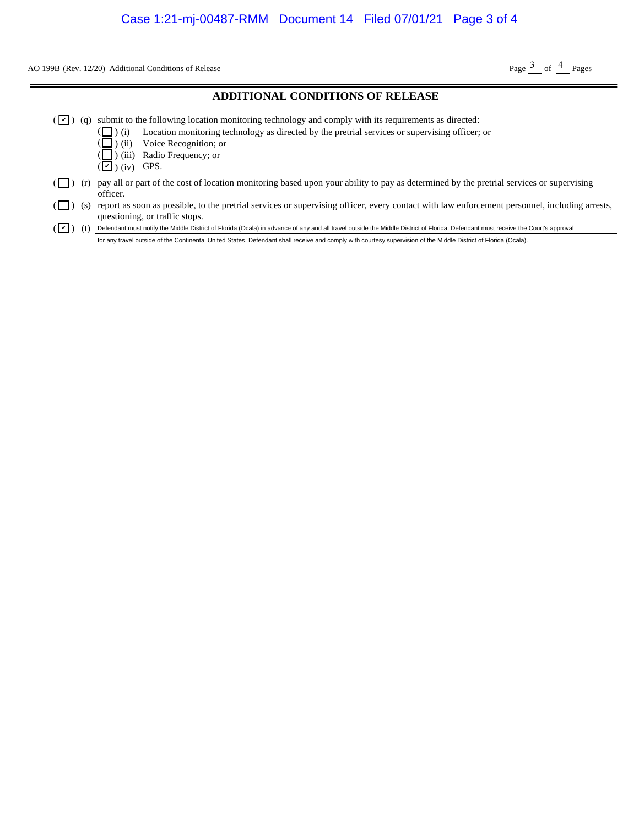AO 199B (Rev. 12/20) Additional Conditions of Release Page  $\frac{3}{2}$  of  $\frac{4}{2}$  Pages

#### **ADDITIONAL CONDITIONS OF RELEASE**

- $(\vee)$  (q) submit to the following location monitoring technology and comply with its requirements as directed:
	- ) (i) Location monitoring technology as directed by the pretrial services or supervising officer; or
	- ) (ii) Voice Recognition; or
	- ) (iii) Radio Frequency; or
	- $(\blacksquare)$  (iv) GPS.

( ( (

- $(\Box)$  (r) pay all or part of the cost of location monitoring based upon your ability to pay as determined by the pretrial services or supervising officer. (1) Additional Conditions of Release<br> **ADDITIONAL CONDITIONS OF RELEASE**<br>
submit to the following location monitoring technology and comply with its requirements as directed:<br>
( $\Box$ ) (ii) Location monitoring technology as
- ( $\Box$ ) (s) report as soon as possible, to the pretrial services or supervising officer, every contact with law enforcement personnel, including arrests, questioning, or traffic stops.

 $(\blacksquare)$  (t)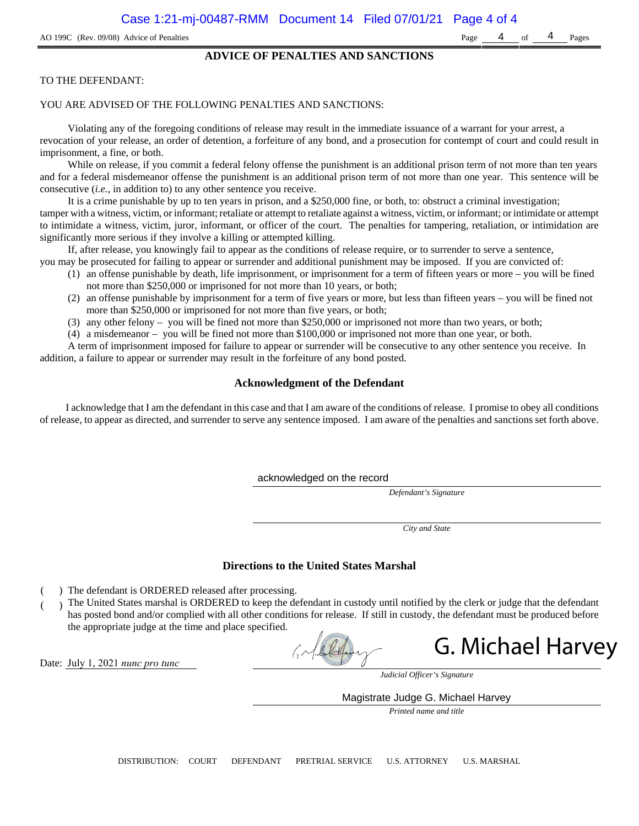#### **ADVICE OF PENALTIES AND SANCTIONS**

#### TO THE DEFENDANT:

#### YOU ARE ADVISED OF THE FOLLOWING PENALTIES AND SANCTIONS:

Violating any of the foregoing conditions of release may result in the immediate issuance of a warrant for your arrest, a revocation of your release, an order of detention, a forfeiture of any bond, and a prosecution for contempt of court and could result in imprisonment, a fine, or both.

While on release, if you commit a federal felony offense the punishment is an additional prison term of not more than ten years and for a federal misdemeanor offense the punishment is an additional prison term of not more than one year. This sentence will be consecutive (*i.e.*, in addition to) to any other sentence you receive.

It is a crime punishable by up to ten years in prison, and a \$250,000 fine, or both, to: obstruct a criminal investigation; tamper with a witness, victim, or informant; retaliate or attempt to retaliate against a witness, victim, or informant; or intimidate or attempt to intimidate a witness, victim, juror, informant, or officer of the court. The penalties for tampering, retaliation, or intimidation are significantly more serious if they involve a killing or attempted killing.

If, after release, you knowingly fail to appear as the conditions of release require, or to surrender to serve a sentence,

- you may be prosecuted for failing to appear or surrender and additional punishment may be imposed. If you are convicted of:
	- (1) an offense punishable by death, life imprisonment, or imprisonment for a term of fifteen years or more you will be fined not more than \$250,000 or imprisoned for not more than 10 years, or both;
	- (2) an offense punishable by imprisonment for a term of five years or more, but less than fifteen years you will be fined not more than \$250,000 or imprisoned for not more than five years, or both;
	- (3) any other felony you will be fined not more than \$250,000 or imprisoned not more than two years, or both;
	- (4) a misdemeanor you will be fined not more than \$100,000 or imprisoned not more than one year, or both.

A term of imprisonment imposed for failure to appear or surrender will be consecutive to any other sentence you receive. In addition, a failure to appear or surrender may result in the forfeiture of any bond posted.

#### **Acknowledgment of the Defendant**

I acknowledge that I am the defendant in this case and that I am aware of the conditions of release. I promise to obey all conditions of release, to appear as directed, and surrender to serve any sentence imposed. I am aware of the penalties and sanctions set forth above.

acknowledged on the record

*Defendant's Signature*

*City and State*

#### **Directions to the United States Marshal**

- ) The defendant is ORDERED released after processing.
- ) The United States marshal is ORDERED to keep the defendant in custody until notified by the clerk or judge that the defendant has posted bond and/or complied with all other conditions for release. If still in custody, the defendant must be produced before the appropriate judge at the time and place specified.

**G. Michael Harvey**<br> *Judicial Officer's Signature*<br>
Magistrate Judge G. Michael Harvey

Date: July 1, 2021 *nunc pro tunc*

*Judicial Officer's Signature*

*Printed name and title*

DISTRIBUTION: COURT DEFENDANT PRETRIAL SERVICE U.S. ATTORNEY U.S. MARSHAL

4 of 4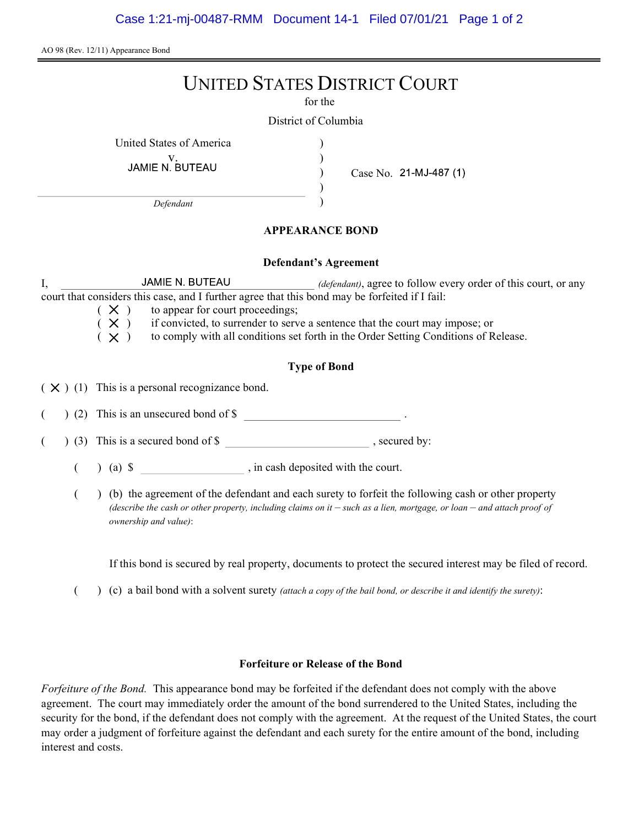AO 98 (Rev. 12/11) Appearance Bond

# UNITED STATES DISTRICT COURT

for the

) ) ) )

District of Columbia

United States of America )

V.<br>JAMIE N. BUTEAU

Case No. 21-MJ-487 (1)

Defendant

## APPEARANCE BOND

#### Defendant's Agreement

I, JAMIE N. BUTEAU *(defendant)*, agree to follow every order of this court, or any court that considers this case, and I further agree that this bond may be forfeited if I fail:

 $(X)$  to appear for court proceedings;<br> $(X)$  if convicted, to surrender to serv

 $(X)$  if convicted, to surrender to serve a sentence that the court may impose; or  $(X)$  to comply with all conditions set forth in the Order Setting Conditions of R

to comply with all conditions set forth in the Order Setting Conditions of Release.

## Type of Bond

 $(X)$  (1) This is a personal recognizance bond.

(2) This is an unsecured bond of \$

 $($   $)$  (3) This is a secured bond of \$, secured by:

 $($  ) (a)  $\$  , in cash deposited with the court.

( ) (b) the agreement of the defendant and each surety to forfeit the following cash or other property (describe the cash or other property, including claims on it  $-$  such as a lien, mortgage, or loan  $-$  and attach proof of ownership and value):

If this bond is secured by real property, documents to protect the secured interest may be filed of record.

( $\)$  (c) a bail bond with a solvent surety *(attach a copy of the bail bond, or describe it and identify the surety)*:

### Forfeiture or Release of the Bond

Forfeiture of the Bond. This appearance bond may be forfeited if the defendant does not comply with the above agreement. The court may immediately order the amount of the bond surrendered to the United States, including the security for the bond, if the defendant does not comply with the agreement. At the request of the United States, the court may order a judgment of forfeiture against the defendant and each surety for the entire amount of the bond, including interest and costs.